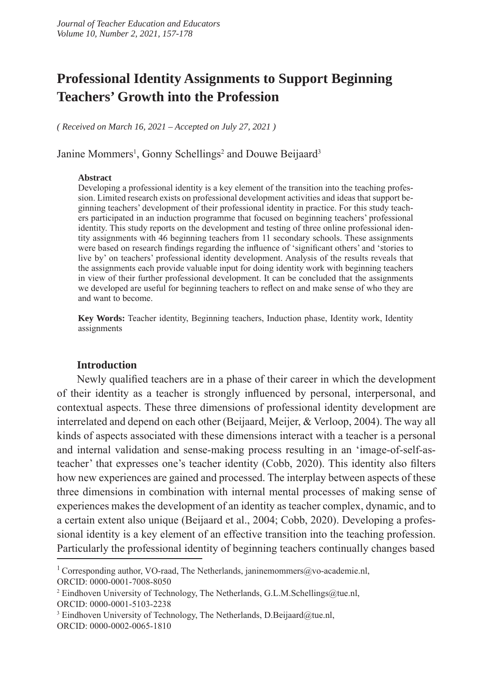# **Professional Identity Assignments to Support Beginning Teachers' Growth into the Profession**

*( Received on March 16, 2021 – Accepted on July 27, 2021 )*

Janine Mommers<sup>1</sup>, Gonny Schellings<sup>2</sup> and Douwe Beijaard<sup>3</sup>

#### **Abstract**

Developing a professional identity is a key element of the transition into the teaching profession. Limited research exists on professional development activities and ideas that support beginning teachers' development of their professional identity in practice. For this study teachers participated in an induction programme that focused on beginning teachers' professional identity. This study reports on the development and testing of three online professional identity assignments with 46 beginning teachers from 11 secondary schools. These assignments were based on research findings regarding the influence of 'significant others' and 'stories to live by' on teachers' professional identity development. Analysis of the results reveals that the assignments each provide valuable input for doing identity work with beginning teachers in view of their further professional development. It can be concluded that the assignments we developed are useful for beginning teachers to reflect on and make sense of who they are and want to become.

**Key Words:** Teacher identity, Beginning teachers, Induction phase, Identity work, Identity assignments

### **Introduction**

Newly qualified teachers are in a phase of their career in which the development of their identity as a teacher is strongly influenced by personal, interpersonal, and contextual aspects. These three dimensions of professional identity development are interrelated and depend on each other (Beijaard, Meijer, & Verloop, 2004). The way all kinds of aspects associated with these dimensions interact with a teacher is a personal and internal validation and sense-making process resulting in an 'image-of-self-asteacher' that expresses one's teacher identity (Cobb, 2020). This identity also filters how new experiences are gained and processed. The interplay between aspects of these three dimensions in combination with internal mental processes of making sense of experiences makes the development of an identity as teacher complex, dynamic, and to a certain extent also unique (Beijaard et al., 2004; Cobb, 2020). Developing a professional identity is a key element of an effective transition into the teaching profession. Particularly the professional identity of beginning teachers continually changes based

<sup>&</sup>lt;sup>1</sup> Corresponding author, VO-raad, The Netherlands, janinemommers@vo-academie.nl, ORCID: 0000-0001-7008-8050

<sup>&</sup>lt;sup>2</sup> Eindhoven University of Technology, The Netherlands, G.L.M.Schellings@tue.nl, ORCID: 0000-0001-5103-2238

<sup>&</sup>lt;sup>3</sup> Eindhoven University of Technology, The Netherlands, D.Beijaard@tue.nl, ORCID: 0000-0002-0065-1810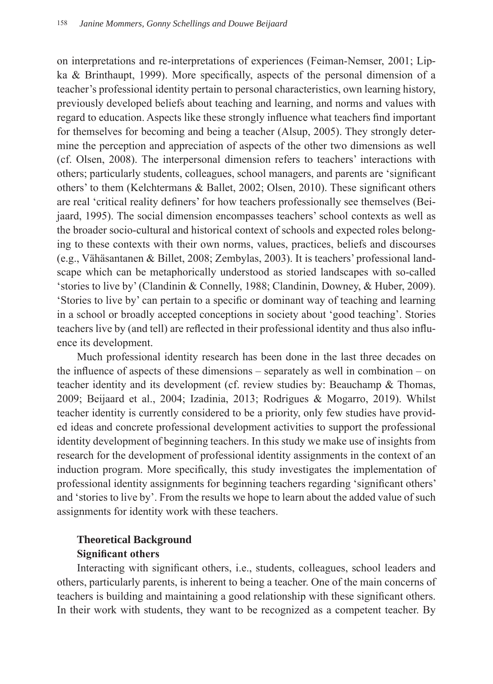on interpretations and re-interpretations of experiences (Feiman-Nemser, 2001; Lipka & Brinthaupt, 1999). More specifically, aspects of the personal dimension of a teacher's professional identity pertain to personal characteristics, own learning history, previously developed beliefs about teaching and learning, and norms and values with regard to education. Aspects like these strongly influence what teachers find important for themselves for becoming and being a teacher (Alsup, 2005). They strongly determine the perception and appreciation of aspects of the other two dimensions as well (cf. Olsen, 2008). The interpersonal dimension refers to teachers' interactions with others; particularly students, colleagues, school managers, and parents are 'significant others' to them (Kelchtermans & Ballet, 2002; Olsen, 2010). These significant others are real 'critical reality definers' for how teachers professionally see themselves (Beijaard, 1995). The social dimension encompasses teachers' school contexts as well as the broader socio-cultural and historical context of schools and expected roles belonging to these contexts with their own norms, values, practices, beliefs and discourses (e.g., Vähäsantanen & Billet, 2008; Zembylas, 2003). It is teachers' professional landscape which can be metaphorically understood as storied landscapes with so-called 'stories to live by' (Clandinin & Connelly, 1988; Clandinin, Downey, & Huber, 2009). 'Stories to live by' can pertain to a specific or dominant way of teaching and learning in a school or broadly accepted conceptions in society about 'good teaching'. Stories teachers live by (and tell) are reflected in their professional identity and thus also influence its development.

Much professional identity research has been done in the last three decades on the influence of aspects of these dimensions – separately as well in combination – on teacher identity and its development (cf. review studies by: Beauchamp & Thomas, 2009; Beijaard et al., 2004; Izadinia, 2013; Rodrigues & Mogarro, 2019). Whilst teacher identity is currently considered to be a priority, only few studies have provided ideas and concrete professional development activities to support the professional identity development of beginning teachers. In this study we make use of insights from research for the development of professional identity assignments in the context of an induction program. More specifically, this study investigates the implementation of professional identity assignments for beginning teachers regarding 'significant others' and 'stories to live by'. From the results we hope to learn about the added value of such assignments for identity work with these teachers.

# **Theoretical Background Significant others**

Interacting with significant others, i.e., students, colleagues, school leaders and others, particularly parents, is inherent to being a teacher. One of the main concerns of teachers is building and maintaining a good relationship with these significant others. In their work with students, they want to be recognized as a competent teacher. By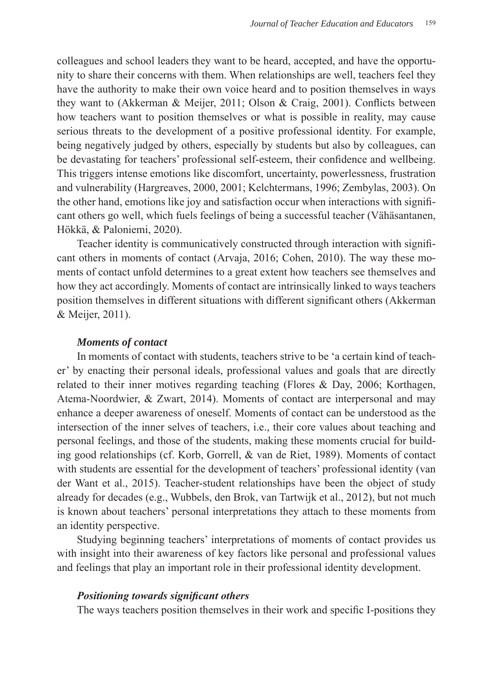colleagues and school leaders they want to be heard, accepted, and have the opportunity to share their concerns with them. When relationships are well, teachers feel they have the authority to make their own voice heard and to position themselves in ways they want to (Akkerman & Meijer, 2011; Olson & Craig, 2001). Conflicts between how teachers want to position themselves or what is possible in reality, may cause serious threats to the development of a positive professional identity. For example, being negatively judged by others, especially by students but also by colleagues, can be devastating for teachers' professional self-esteem, their confidence and wellbeing. This triggers intense emotions like discomfort, uncertainty, powerlessness, frustration and vulnerability (Hargreaves, 2000, 2001; Kelchtermans, 1996; Zembylas, 2003). On the other hand, emotions like joy and satisfaction occur when interactions with significant others go well, which fuels feelings of being a successful teacher (Vähäsantanen, Hökkä, & Paloniemi, 2020).

Teacher identity is communicatively constructed through interaction with significant others in moments of contact (Arvaja, 2016; Cohen, 2010). The way these moments of contact unfold determines to a great extent how teachers see themselves and how they act accordingly. Moments of contact are intrinsically linked to ways teachers position themselves in different situations with different significant others (Akkerman & Meijer, 2011).

### *Moments of contact*

In moments of contact with students, teachers strive to be 'a certain kind of teacher' by enacting their personal ideals, professional values and goals that are directly related to their inner motives regarding teaching (Flores & Day, 2006; Korthagen, Atema-Noordwier, & Zwart, 2014). Moments of contact are interpersonal and may enhance a deeper awareness of oneself. Moments of contact can be understood as the intersection of the inner selves of teachers, i.e., their core values about teaching and personal feelings, and those of the students, making these moments crucial for building good relationships (cf. Korb, Gorrell, & van de Riet, 1989). Moments of contact with students are essential for the development of teachers' professional identity (van der Want et al., 2015). Teacher-student relationships have been the object of study already for decades (e.g., Wubbels, den Brok, van Tartwijk et al., 2012), but not much is known about teachers' personal interpretations they attach to these moments from an identity perspective.

Studying beginning teachers' interpretations of moments of contact provides us with insight into their awareness of key factors like personal and professional values and feelings that play an important role in their professional identity development.

### *Positioning towards significant others*

The ways teachers position themselves in their work and specific I-positions they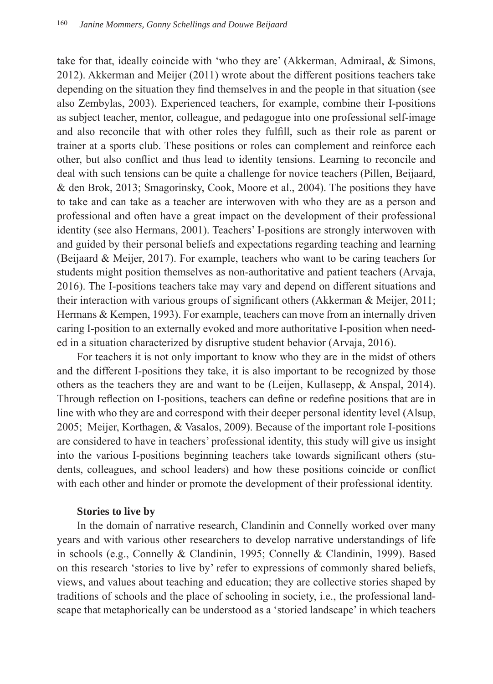take for that, ideally coincide with 'who they are' (Akkerman, Admiraal, & Simons, 2012). Akkerman and Meijer (2011) wrote about the different positions teachers take depending on the situation they find themselves in and the people in that situation (see also Zembylas, 2003). Experienced teachers, for example, combine their I-positions as subject teacher, mentor, colleague, and pedagogue into one professional self-image and also reconcile that with other roles they fulfill, such as their role as parent or trainer at a sports club. These positions or roles can complement and reinforce each other, but also conflict and thus lead to identity tensions. Learning to reconcile and deal with such tensions can be quite a challenge for novice teachers (Pillen, Beijaard, & den Brok, 2013; Smagorinsky, Cook, Moore et al., 2004). The positions they have to take and can take as a teacher are interwoven with who they are as a person and professional and often have a great impact on the development of their professional identity (see also Hermans, 2001). Teachers' I-positions are strongly interwoven with and guided by their personal beliefs and expectations regarding teaching and learning (Beijaard & Meijer, 2017). For example, teachers who want to be caring teachers for students might position themselves as non-authoritative and patient teachers (Arvaja, 2016). The I-positions teachers take may vary and depend on different situations and their interaction with various groups of significant others (Akkerman & Meijer, 2011; Hermans & Kempen, 1993). For example, teachers can move from an internally driven caring I-position to an externally evoked and more authoritative I-position when needed in a situation characterized by disruptive student behavior (Arvaja, 2016).

For teachers it is not only important to know who they are in the midst of others and the different I-positions they take, it is also important to be recognized by those others as the teachers they are and want to be (Leijen, Kullasepp, & Anspal, 2014). Through reflection on I-positions, teachers can define or redefine positions that are in line with who they are and correspond with their deeper personal identity level (Alsup, 2005; Meijer, Korthagen, & Vasalos, 2009). Because of the important role I-positions are considered to have in teachers' professional identity, this study will give us insight into the various I-positions beginning teachers take towards significant others (students, colleagues, and school leaders) and how these positions coincide or conflict with each other and hinder or promote the development of their professional identity.

# **Stories to live by**

In the domain of narrative research, Clandinin and Connelly worked over many years and with various other researchers to develop narrative understandings of life in schools (e.g., Connelly & Clandinin, 1995; Connelly & Clandinin, 1999). Based on this research 'stories to live by' refer to expressions of commonly shared beliefs, views, and values about teaching and education; they are collective stories shaped by traditions of schools and the place of schooling in society, i.e., the professional landscape that metaphorically can be understood as a 'storied landscape' in which teachers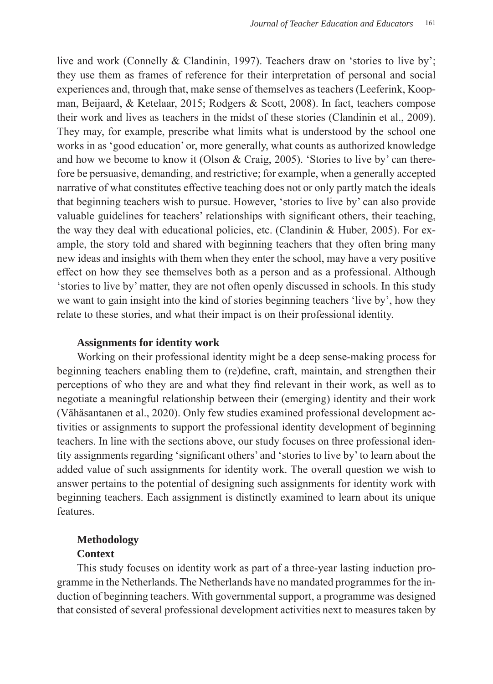live and work (Connelly & Clandinin, 1997). Teachers draw on 'stories to live by'; they use them as frames of reference for their interpretation of personal and social experiences and, through that, make sense of themselves as teachers (Leeferink, Koopman, Beijaard, & Ketelaar, 2015; Rodgers & Scott, 2008). In fact, teachers compose their work and lives as teachers in the midst of these stories (Clandinin et al., 2009). They may, for example, prescribe what limits what is understood by the school one works in as 'good education' or, more generally, what counts as authorized knowledge and how we become to know it (Olson & Craig, 2005). 'Stories to live by' can therefore be persuasive, demanding, and restrictive; for example, when a generally accepted narrative of what constitutes effective teaching does not or only partly match the ideals that beginning teachers wish to pursue. However, 'stories to live by' can also provide valuable guidelines for teachers' relationships with significant others, their teaching, the way they deal with educational policies, etc. (Clandinin  $\&$  Huber, 2005). For example, the story told and shared with beginning teachers that they often bring many new ideas and insights with them when they enter the school, may have a very positive effect on how they see themselves both as a person and as a professional. Although 'stories to live by' matter, they are not often openly discussed in schools. In this study we want to gain insight into the kind of stories beginning teachers 'live by', how they relate to these stories, and what their impact is on their professional identity.

### **Assignments for identity work**

Working on their professional identity might be a deep sense-making process for beginning teachers enabling them to (re)define, craft, maintain, and strengthen their perceptions of who they are and what they find relevant in their work, as well as to negotiate a meaningful relationship between their (emerging) identity and their work (Vähäsantanen et al., 2020). Only few studies examined professional development activities or assignments to support the professional identity development of beginning teachers. In line with the sections above, our study focuses on three professional identity assignments regarding 'significant others' and 'stories to live by' to learn about the added value of such assignments for identity work. The overall question we wish to answer pertains to the potential of designing such assignments for identity work with beginning teachers. Each assignment is distinctly examined to learn about its unique features.

# **Methodology**

# **Context**

This study focuses on identity work as part of a three-year lasting induction programme in the Netherlands. The Netherlands have no mandated programmes for the induction of beginning teachers. With governmental support, a programme was designed that consisted of several professional development activities next to measures taken by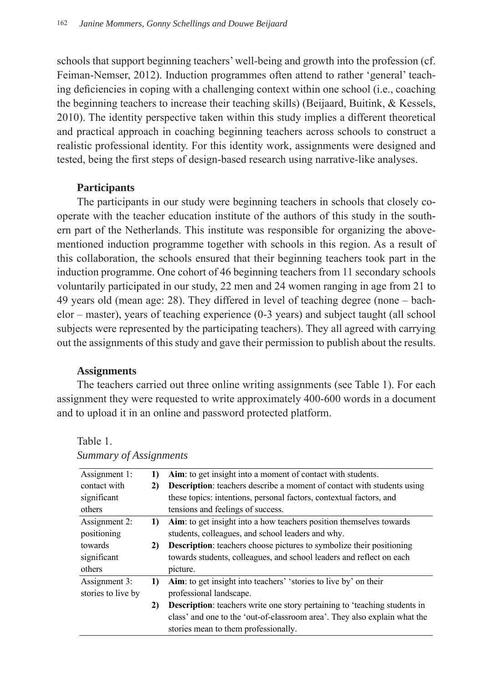schools that support beginning teachers' well-being and growth into the profession (cf. Feiman-Nemser, 2012). Induction programmes often attend to rather 'general' teaching deficiencies in coping with a challenging context within one school (i.e., coaching the beginning teachers to increase their teaching skills) (Beijaard, Buitink, & Kessels, 2010). The identity perspective taken within this study implies a different theoretical and practical approach in coaching beginning teachers across schools to construct a realistic professional identity. For this identity work, assignments were designed and tested, being the first steps of design-based research using narrative-like analyses.

# **Participants**

The participants in our study were beginning teachers in schools that closely cooperate with the teacher education institute of the authors of this study in the southern part of the Netherlands. This institute was responsible for organizing the abovementioned induction programme together with schools in this region. As a result of this collaboration, the schools ensured that their beginning teachers took part in the induction programme. One cohort of 46 beginning teachers from 11 secondary schools voluntarily participated in our study, 22 men and 24 women ranging in age from 21 to 49 years old (mean age: 28). They differed in level of teaching degree (none – bachelor – master), years of teaching experience (0-3 years) and subject taught (all school subjects were represented by the participating teachers). They all agreed with carrying out the assignments of this study and gave their permission to publish about the results.

# **Assignments**

The teachers carried out three online writing assignments (see Table 1). For each assignment they were requested to write approximately 400-600 words in a document and to upload it in an online and password protected platform.

| Summur y Of Assignments |    |                                                                                  |  |  |
|-------------------------|----|----------------------------------------------------------------------------------|--|--|
| Assignment 1:           | 1) | Aim: to get insight into a moment of contact with students.                      |  |  |
| contact with            | 2) | <b>Description:</b> teachers describe a moment of contact with students using    |  |  |
| significant             |    | these topics: intentions, personal factors, contextual factors, and              |  |  |
| others                  |    | tensions and feelings of success.                                                |  |  |
| Assignment 2:           | 1) | Aim: to get insight into a how teachers position themselves towards              |  |  |
| positioning             |    | students, colleagues, and school leaders and why.                                |  |  |
| towards                 | 2) | <b>Description:</b> teachers choose pictures to symbolize their positioning      |  |  |
| significant             |    | towards students, colleagues, and school leaders and reflect on each             |  |  |
| others                  |    | picture.                                                                         |  |  |
| Assignment 3:           | 1) | Aim: to get insight into teachers' 'stories to live by' on their                 |  |  |
| stories to live by      |    | professional landscape.                                                          |  |  |
|                         | 2) | <b>Description:</b> teachers write one story pertaining to 'teaching students in |  |  |
|                         |    | class' and one to the 'out-of-classroom area'. They also explain what the        |  |  |
|                         |    | stories mean to them professionally.                                             |  |  |

Table 1. *Summary of Assignments*  Table 1.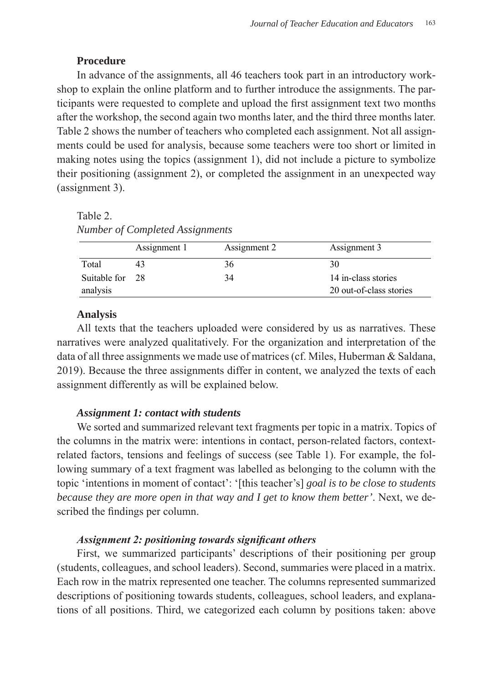# Procedure

In advance of the assignments, all 46 teachers took part in an introductory workshop to explain the online platform and to further introduce the assignments. The participants were requested to complete and upload the first assignment text two months after the workshop, the second again two months later, and the third three months later. Table 2 shows the number of teachers who completed each assignment. Not all assignments could be used for analysis, because some teachers were too short or limited in making notes using the topics (assignment 1), did not include a picture to symbolize their positioning (assignment 2), or completed the assignment in an unexpected way (assignment 3).  $\sum_{i=1}^{n}$ **2) Description**: teachers choose pictures to symbolize their positioning cond again two months rater, and the time three months  $\overline{a}$  and  $\overline{b}$  one to the 'out-of-class'  $\overline{a}$ 

Table 2. Table 2. *Number of Completed Assignments Number of Completed Assignments* 

|                             | Assignment 1 | Assignment 2 | Assignment 3                                   |
|-----------------------------|--------------|--------------|------------------------------------------------|
| Total                       |              | 36           | 30                                             |
| Suitable for 28<br>analysis |              | 34           | 14 in-class stories<br>20 out-of-class stories |

### **Analysis**

All texts that the teachers uploaded were considered by us as narratives. These narratives were analyzed qualitatively. For the organization and interpretation of the data of all three assignments we made use of matrices (cf. Miles, Huberman & Saldana, 2019). Because the three assignments differ in content, we analyzed the texts of each assignment differently as will be explained below.

### *Assignment 1: contact with students*

We sorted and summarized relevant text fragments per topic in a matrix. Topics of the columns in the matrix were: intentions in contact, person-related factors, contextrelated factors, tensions and feelings of success (see Table 1). For example, the following summary of a text fragment was labelled as belonging to the column with the topic 'intentions in moment of contact': '[this teacher's] *goal is to be close to students because they are more open in that way and I get to know them better'*. Next, we described the findings per column.

### *Assignment 2: positioning towards significant others*

First, we summarized participants' descriptions of their positioning per group (students, colleagues, and school leaders). Second, summaries were placed in a matrix. Each row in the matrix represented one teacher. The columns represented summarized descriptions of positioning towards students, colleagues, school leaders, and explanations of all positions. Third, we categorized each column by positions taken: above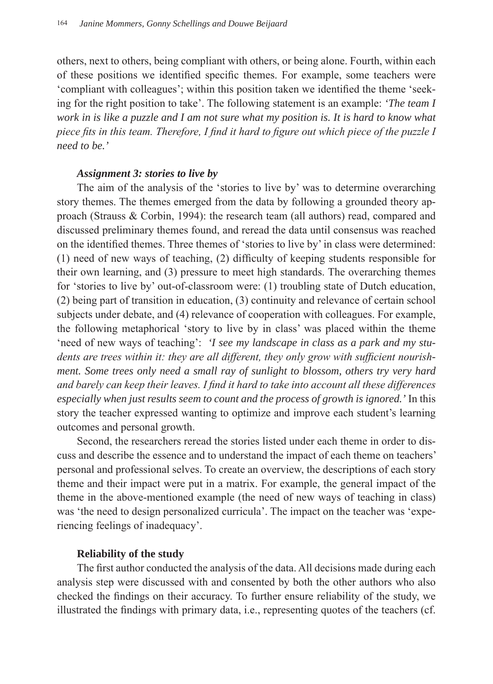others, next to others, being compliant with others, or being alone. Fourth, within each of these positions we identified specific themes. For example, some teachers were 'compliant with colleagues'; within this position taken we identified the theme 'seeking for the right position to take'. The following statement is an example: *'The team I work in is like a puzzle and I am not sure what my position is. It is hard to know what piece fits in this team. Therefore, I find it hard to figure out which piece of the puzzle I need to be.'*

# *Assignment 3: stories to live by*

The aim of the analysis of the 'stories to live by' was to determine overarching story themes. The themes emerged from the data by following a grounded theory approach (Strauss & Corbin, 1994): the research team (all authors) read, compared and discussed preliminary themes found, and reread the data until consensus was reached on the identified themes. Three themes of 'stories to live by' in class were determined: (1) need of new ways of teaching, (2) difficulty of keeping students responsible for their own learning, and (3) pressure to meet high standards. The overarching themes for 'stories to live by' out-of-classroom were: (1) troubling state of Dutch education, (2) being part of transition in education, (3) continuity and relevance of certain school subjects under debate, and (4) relevance of cooperation with colleagues. For example, the following metaphorical 'story to live by in class' was placed within the theme 'need of new ways of teaching': *'I see my landscape in class as a park and my students are trees within it: they are all different, they only grow with sufficient nourishment. Some trees only need a small ray of sunlight to blossom, others try very hard and barely can keep their leaves. I find it hard to take into account all these differences especially when just results seem to count and the process of growth is ignored.'* In this story the teacher expressed wanting to optimize and improve each student's learning outcomes and personal growth.

Second, the researchers reread the stories listed under each theme in order to discuss and describe the essence and to understand the impact of each theme on teachers' personal and professional selves. To create an overview, the descriptions of each story theme and their impact were put in a matrix. For example, the general impact of the theme in the above-mentioned example (the need of new ways of teaching in class) was 'the need to design personalized curricula'. The impact on the teacher was 'experiencing feelings of inadequacy'.

# **Reliability of the study**

The first author conducted the analysis of the data. All decisions made during each analysis step were discussed with and consented by both the other authors who also checked the findings on their accuracy. To further ensure reliability of the study, we illustrated the findings with primary data, i.e., representing quotes of the teachers (cf.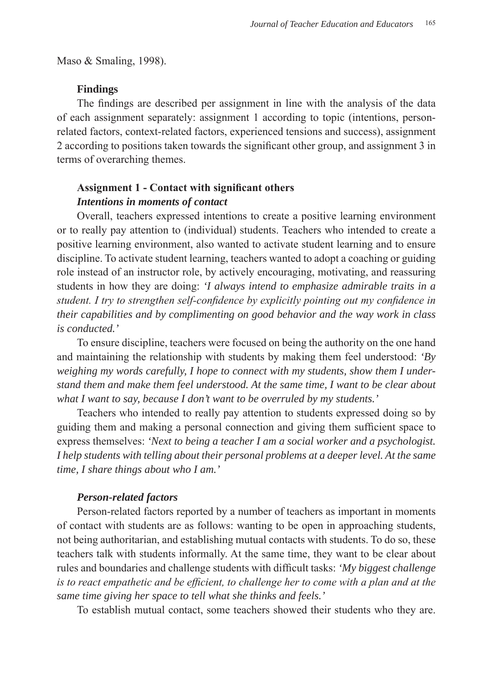Maso & Smaling, 1998).

### **Findings**

The findings are described per assignment in line with the analysis of the data of each assignment separately: assignment 1 according to topic (intentions, personrelated factors, context-related factors, experienced tensions and success), assignment 2 according to positions taken towards the significant other group, and assignment 3 in terms of overarching themes.

# **Assignment 1 - Contact with significant others** *Intentions in moments of contact*

Overall, teachers expressed intentions to create a positive learning environment or to really pay attention to (individual) students. Teachers who intended to create a positive learning environment, also wanted to activate student learning and to ensure discipline. To activate student learning, teachers wanted to adopt a coaching or guiding role instead of an instructor role, by actively encouraging, motivating, and reassuring students in how they are doing: *'I always intend to emphasize admirable traits in a student. I try to strengthen self-confidence by explicitly pointing out my confidence in their capabilities and by complimenting on good behavior and the way work in class is conducted.'* 

To ensure discipline, teachers were focused on being the authority on the one hand and maintaining the relationship with students by making them feel understood: *'By weighing my words carefully, I hope to connect with my students, show them I understand them and make them feel understood. At the same time, I want to be clear about what I want to say, because I don't want to be overruled by my students.'*

Teachers who intended to really pay attention to students expressed doing so by guiding them and making a personal connection and giving them sufficient space to express themselves: *'Next to being a teacher I am a social worker and a psychologist. I help students with telling about their personal problems at a deeper level. At the same time, I share things about who I am.'* 

### *Person-related factors*

Person-related factors reported by a number of teachers as important in moments of contact with students are as follows: wanting to be open in approaching students, not being authoritarian, and establishing mutual contacts with students. To do so, these teachers talk with students informally. At the same time, they want to be clear about rules and boundaries and challenge students with difficult tasks: *'My biggest challenge is to react empathetic and be efficient, to challenge her to come with a plan and at the same time giving her space to tell what she thinks and feels.'*

To establish mutual contact, some teachers showed their students who they are.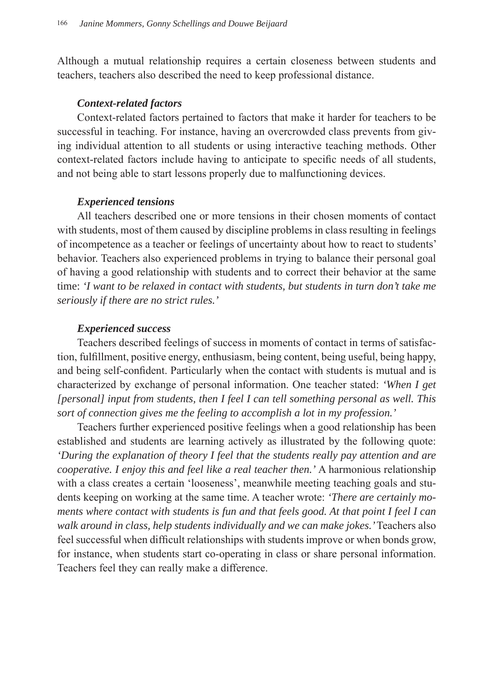Although a mutual relationship requires a certain closeness between students and teachers, teachers also described the need to keep professional distance.

# *Context-related factors*

Context-related factors pertained to factors that make it harder for teachers to be successful in teaching. For instance, having an overcrowded class prevents from giving individual attention to all students or using interactive teaching methods. Other context-related factors include having to anticipate to specific needs of all students, and not being able to start lessons properly due to malfunctioning devices.

# *Experienced tensions*

All teachers described one or more tensions in their chosen moments of contact with students, most of them caused by discipline problems in class resulting in feelings of incompetence as a teacher or feelings of uncertainty about how to react to students' behavior. Teachers also experienced problems in trying to balance their personal goal of having a good relationship with students and to correct their behavior at the same time: *'I want to be relaxed in contact with students, but students in turn don't take me seriously if there are no strict rules.'* 

# *Experienced success*

Teachers described feelings of success in moments of contact in terms of satisfaction, fulfillment, positive energy, enthusiasm, being content, being useful, being happy, and being self-confident. Particularly when the contact with students is mutual and is characterized by exchange of personal information. One teacher stated: *'When I get [personal] input from students, then I feel I can tell something personal as well. This sort of connection gives me the feeling to accomplish a lot in my profession.'*

Teachers further experienced positive feelings when a good relationship has been established and students are learning actively as illustrated by the following quote: *'During the explanation of theory I feel that the students really pay attention and are cooperative. I enjoy this and feel like a real teacher then.'* A harmonious relationship with a class creates a certain 'looseness', meanwhile meeting teaching goals and students keeping on working at the same time. A teacher wrote: *'There are certainly moments where contact with students is fun and that feels good. At that point I feel I can walk around in class, help students individually and we can make jokes.'* Teachers also feel successful when difficult relationships with students improve or when bonds grow, for instance, when students start co-operating in class or share personal information. Teachers feel they can really make a difference.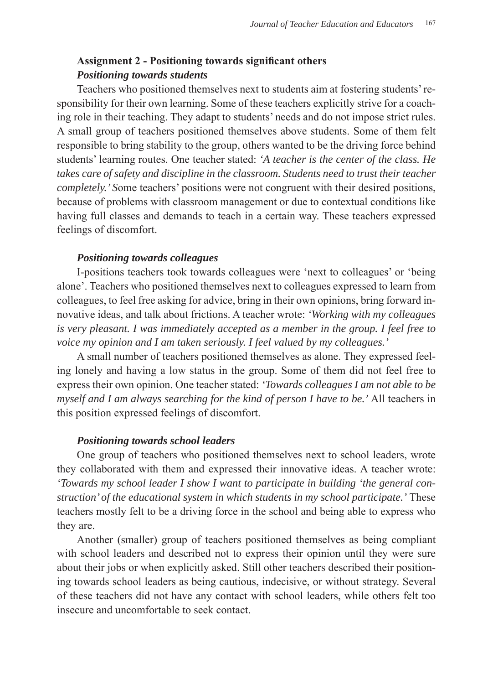# **Assignment 2 - Positioning towards significant others** *Positioning towards students*

Teachers who positioned themselves next to students aim at fostering students' responsibility for their own learning. Some of these teachers explicitly strive for a coaching role in their teaching. They adapt to students' needs and do not impose strict rules. A small group of teachers positioned themselves above students. Some of them felt responsible to bring stability to the group, others wanted to be the driving force behind students' learning routes. One teacher stated: *'A teacher is the center of the class. He takes care of safety and discipline in the classroom. Students need to trust their teacher completely.' S*ome teachers' positions were not congruent with their desired positions, because of problems with classroom management or due to contextual conditions like having full classes and demands to teach in a certain way. These teachers expressed feelings of discomfort.

### *Positioning towards colleagues*

I-positions teachers took towards colleagues were 'next to colleagues' or 'being alone'. Teachers who positioned themselves next to colleagues expressed to learn from colleagues, to feel free asking for advice, bring in their own opinions, bring forward innovative ideas, and talk about frictions. A teacher wrote: *'Working with my colleagues is very pleasant. I was immediately accepted as a member in the group. I feel free to voice my opinion and I am taken seriously. I feel valued by my colleagues.'*

A small number of teachers positioned themselves as alone. They expressed feeling lonely and having a low status in the group. Some of them did not feel free to express their own opinion. One teacher stated: *'Towards colleagues I am not able to be myself and I am always searching for the kind of person I have to be.'* All teachers in this position expressed feelings of discomfort.

### *Positioning towards school leaders*

One group of teachers who positioned themselves next to school leaders, wrote they collaborated with them and expressed their innovative ideas. A teacher wrote: *'Towards my school leader I show I want to participate in building 'the general construction' of the educational system in which students in my school participate.'* These teachers mostly felt to be a driving force in the school and being able to express who they are.

Another (smaller) group of teachers positioned themselves as being compliant with school leaders and described not to express their opinion until they were sure about their jobs or when explicitly asked. Still other teachers described their positioning towards school leaders as being cautious, indecisive, or without strategy. Several of these teachers did not have any contact with school leaders, while others felt too insecure and uncomfortable to seek contact.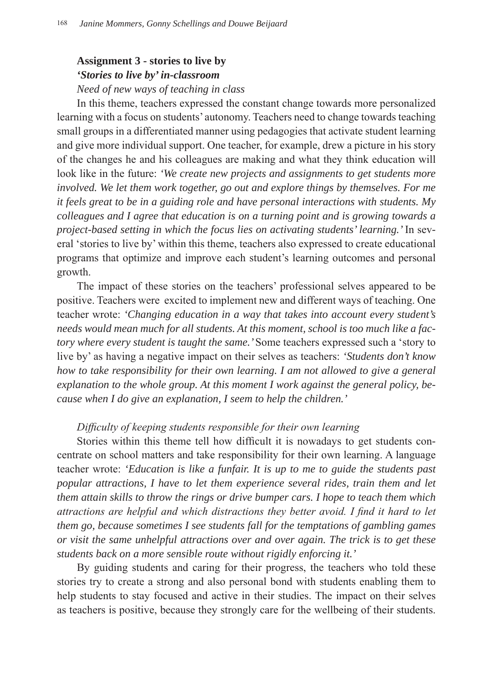# **Assignment 3 - stories to live by** *'Stories to live by' in-classroom*

*Need of new ways of teaching in class*

In this theme, teachers expressed the constant change towards more personalized learning with a focus on students' autonomy. Teachers need to change towards teaching small groups in a differentiated manner using pedagogies that activate student learning and give more individual support. One teacher, for example, drew a picture in his story of the changes he and his colleagues are making and what they think education will look like in the future: *'We create new projects and assignments to get students more involved. We let them work together, go out and explore things by themselves. For me it feels great to be in a guiding role and have personal interactions with students. My colleagues and I agree that education is on a turning point and is growing towards a project-based setting in which the focus lies on activating students' learning.'* In several 'stories to live by' within this theme, teachers also expressed to create educational programs that optimize and improve each student's learning outcomes and personal growth.

The impact of these stories on the teachers' professional selves appeared to be positive. Teachers were excited to implement new and different ways of teaching. One teacher wrote: *'Changing education in a way that takes into account every student's needs would mean much for all students. At this moment, school is too much like a factory where every student is taught the same.'* Some teachers expressed such a 'story to live by' as having a negative impact on their selves as teachers: *'Students don't know how to take responsibility for their own learning. I am not allowed to give a general explanation to the whole group. At this moment I work against the general policy, because when I do give an explanation, I seem to help the children.'* 

# *Difficulty of keeping students responsible for their own learning*

Stories within this theme tell how difficult it is nowadays to get students concentrate on school matters and take responsibility for their own learning. A language teacher wrote: *'Education is like a funfair. It is up to me to guide the students past popular attractions, I have to let them experience several rides, train them and let them attain skills to throw the rings or drive bumper cars. I hope to teach them which attractions are helpful and which distractions they better avoid. I find it hard to let them go, because sometimes I see students fall for the temptations of gambling games or visit the same unhelpful attractions over and over again. The trick is to get these students back on a more sensible route without rigidly enforcing it.'*

By guiding students and caring for their progress, the teachers who told these stories try to create a strong and also personal bond with students enabling them to help students to stay focused and active in their studies. The impact on their selves as teachers is positive, because they strongly care for the wellbeing of their students.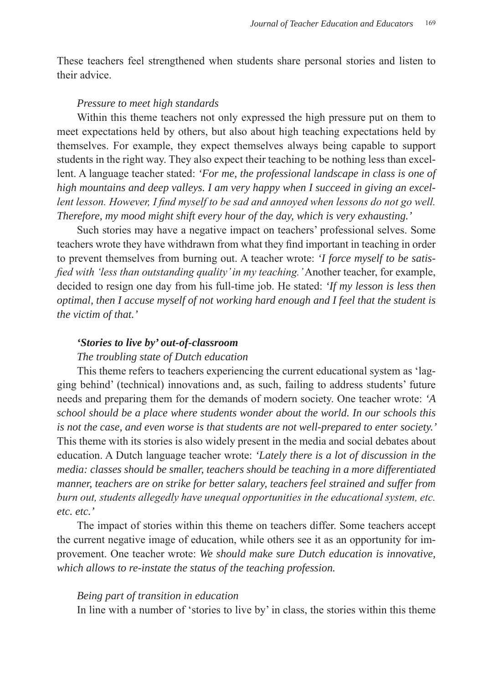These teachers feel strengthened when students share personal stories and listen to their advice.

### *Pressure to meet high standards*

Within this theme teachers not only expressed the high pressure put on them to meet expectations held by others, but also about high teaching expectations held by themselves. For example, they expect themselves always being capable to support students in the right way. They also expect their teaching to be nothing less than excellent. A language teacher stated: *'For me, the professional landscape in class is one of high mountains and deep valleys. I am very happy when I succeed in giving an excellent lesson. However, I find myself to be sad and annoyed when lessons do not go well. Therefore, my mood might shift every hour of the day, which is very exhausting.'* 

Such stories may have a negative impact on teachers' professional selves. Some teachers wrote they have withdrawn from what they find important in teaching in order to prevent themselves from burning out. A teacher wrote: *'I force myself to be satisfied with 'less than outstanding quality' in my teaching.'* Another teacher, for example, decided to resign one day from his full-time job. He stated: *'If my lesson is less then optimal, then I accuse myself of not working hard enough and I feel that the student is the victim of that.'*

### *'Stories to live by' out-of-classroom*

# *The troubling state of Dutch education*

This theme refers to teachers experiencing the current educational system as 'lagging behind' (technical) innovations and, as such, failing to address students' future needs and preparing them for the demands of modern society. One teacher wrote: *'A school should be a place where students wonder about the world. In our schools this is not the case, and even worse is that students are not well-prepared to enter society.'*  This theme with its stories is also widely present in the media and social debates about education. A Dutch language teacher wrote: *'Lately there is a lot of discussion in the media: classes should be smaller, teachers should be teaching in a more differentiated manner, teachers are on strike for better salary, teachers feel strained and suffer from burn out, students allegedly have unequal opportunities in the educational system, etc. etc. etc.'*

The impact of stories within this theme on teachers differ. Some teachers accept the current negative image of education, while others see it as an opportunity for improvement. One teacher wrote: *We should make sure Dutch education is innovative, which allows to re-instate the status of the teaching profession.*

### *Being part of transition in education*

In line with a number of 'stories to live by' in class, the stories within this theme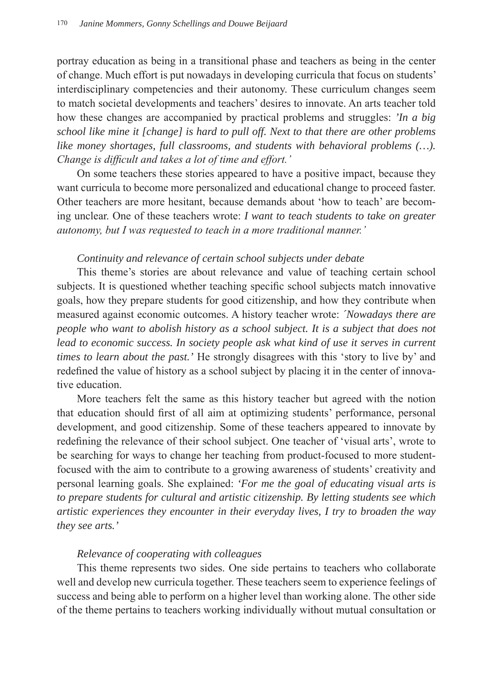portray education as being in a transitional phase and teachers as being in the center of change. Much effort is put nowadays in developing curricula that focus on students' interdisciplinary competencies and their autonomy. These curriculum changes seem to match societal developments and teachers' desires to innovate. An arts teacher told how these changes are accompanied by practical problems and struggles: *'In a big school like mine it [change] is hard to pull off. Next to that there are other problems like money shortages, full classrooms, and students with behavioral problems (…). Change is difficult and takes a lot of time and effort.'*

On some teachers these stories appeared to have a positive impact, because they want curricula to become more personalized and educational change to proceed faster. Other teachers are more hesitant, because demands about 'how to teach' are becoming unclear. One of these teachers wrote: *I want to teach students to take on greater autonomy, but I was requested to teach in a more traditional manner.'* 

# *Continuity and relevance of certain school subjects under debate*

This theme's stories are about relevance and value of teaching certain school subjects. It is questioned whether teaching specific school subjects match innovative goals, how they prepare students for good citizenship, and how they contribute when measured against economic outcomes. A history teacher wrote: *´Nowadays there are people who want to abolish history as a school subject. It is a subject that does not*  lead to economic success. In society people ask what kind of use it serves in current *times to learn about the past.'* He strongly disagrees with this 'story to live by' and redefined the value of history as a school subject by placing it in the center of innovative education.

More teachers felt the same as this history teacher but agreed with the notion that education should first of all aim at optimizing students' performance, personal development, and good citizenship. Some of these teachers appeared to innovate by redefining the relevance of their school subject. One teacher of 'visual arts', wrote to be searching for ways to change her teaching from product-focused to more studentfocused with the aim to contribute to a growing awareness of students' creativity and personal learning goals. She explained: *'For me the goal of educating visual arts is to prepare students for cultural and artistic citizenship. By letting students see which artistic experiences they encounter in their everyday lives, I try to broaden the way they see arts.'* 

# *Relevance of cooperating with colleagues*

This theme represents two sides. One side pertains to teachers who collaborate well and develop new curricula together. These teachers seem to experience feelings of success and being able to perform on a higher level than working alone. The other side of the theme pertains to teachers working individually without mutual consultation or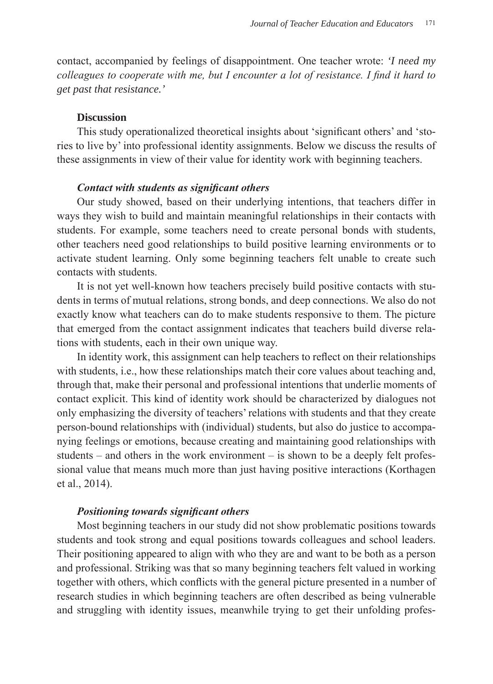contact, accompanied by feelings of disappointment. One teacher wrote: *'I need my colleagues to cooperate with me, but I encounter a lot of resistance. I find it hard to get past that resistance.'*

### **Discussion**

This study operationalized theoretical insights about 'significant others' and 'stories to live by' into professional identity assignments. Below we discuss the results of these assignments in view of their value for identity work with beginning teachers.

### *Contact with students as significant others*

Our study showed, based on their underlying intentions, that teachers differ in ways they wish to build and maintain meaningful relationships in their contacts with students. For example, some teachers need to create personal bonds with students, other teachers need good relationships to build positive learning environments or to activate student learning. Only some beginning teachers felt unable to create such contacts with students.

It is not yet well-known how teachers precisely build positive contacts with students in terms of mutual relations, strong bonds, and deep connections. We also do not exactly know what teachers can do to make students responsive to them. The picture that emerged from the contact assignment indicates that teachers build diverse relations with students, each in their own unique way.

In identity work, this assignment can help teachers to reflect on their relationships with students, i.e., how these relationships match their core values about teaching and, through that, make their personal and professional intentions that underlie moments of contact explicit. This kind of identity work should be characterized by dialogues not only emphasizing the diversity of teachers' relations with students and that they create person-bound relationships with (individual) students, but also do justice to accompanying feelings or emotions, because creating and maintaining good relationships with students – and others in the work environment – is shown to be a deeply felt professional value that means much more than just having positive interactions (Korthagen et al., 2014).

### *Positioning towards significant others*

Most beginning teachers in our study did not show problematic positions towards students and took strong and equal positions towards colleagues and school leaders. Their positioning appeared to align with who they are and want to be both as a person and professional. Striking was that so many beginning teachers felt valued in working together with others, which conflicts with the general picture presented in a number of research studies in which beginning teachers are often described as being vulnerable and struggling with identity issues, meanwhile trying to get their unfolding profes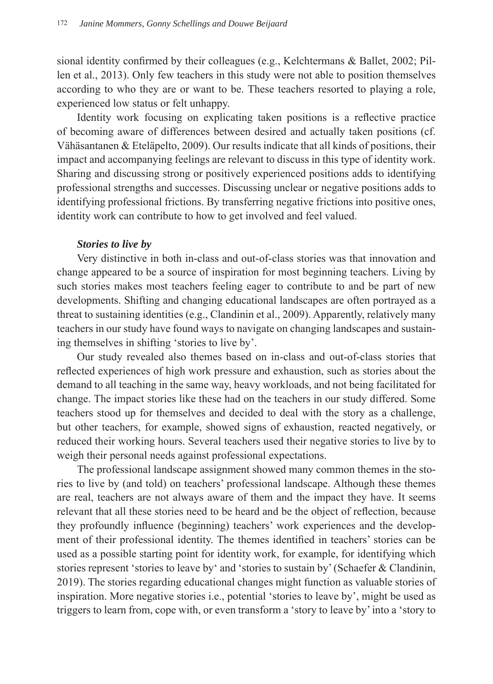sional identity confirmed by their colleagues (e.g., Kelchtermans & Ballet, 2002; Pillen et al., 2013). Only few teachers in this study were not able to position themselves according to who they are or want to be. These teachers resorted to playing a role, experienced low status or felt unhappy.

Identity work focusing on explicating taken positions is a reflective practice of becoming aware of differences between desired and actually taken positions (cf. Vähäsantanen & Eteläpelto, 2009). Our results indicate that all kinds of positions, their impact and accompanying feelings are relevant to discuss in this type of identity work. Sharing and discussing strong or positively experienced positions adds to identifying professional strengths and successes. Discussing unclear or negative positions adds to identifying professional frictions. By transferring negative frictions into positive ones, identity work can contribute to how to get involved and feel valued.

# *Stories to live by*

Very distinctive in both in-class and out-of-class stories was that innovation and change appeared to be a source of inspiration for most beginning teachers. Living by such stories makes most teachers feeling eager to contribute to and be part of new developments. Shifting and changing educational landscapes are often portrayed as a threat to sustaining identities (e.g., Clandinin et al., 2009). Apparently, relatively many teachers in our study have found ways to navigate on changing landscapes and sustaining themselves in shifting 'stories to live by'.

Our study revealed also themes based on in-class and out-of-class stories that reflected experiences of high work pressure and exhaustion, such as stories about the demand to all teaching in the same way, heavy workloads, and not being facilitated for change. The impact stories like these had on the teachers in our study differed. Some teachers stood up for themselves and decided to deal with the story as a challenge, but other teachers, for example, showed signs of exhaustion, reacted negatively, or reduced their working hours. Several teachers used their negative stories to live by to weigh their personal needs against professional expectations.

The professional landscape assignment showed many common themes in the stories to live by (and told) on teachers' professional landscape. Although these themes are real, teachers are not always aware of them and the impact they have. It seems relevant that all these stories need to be heard and be the object of reflection, because they profoundly influence (beginning) teachers' work experiences and the development of their professional identity. The themes identified in teachers' stories can be used as a possible starting point for identity work, for example, for identifying which stories represent 'stories to leave by' and 'stories to sustain by' (Schaefer & Clandinin, 2019). The stories regarding educational changes might function as valuable stories of inspiration. More negative stories i.e., potential 'stories to leave by', might be used as triggers to learn from, cope with, or even transform a 'story to leave by' into a 'story to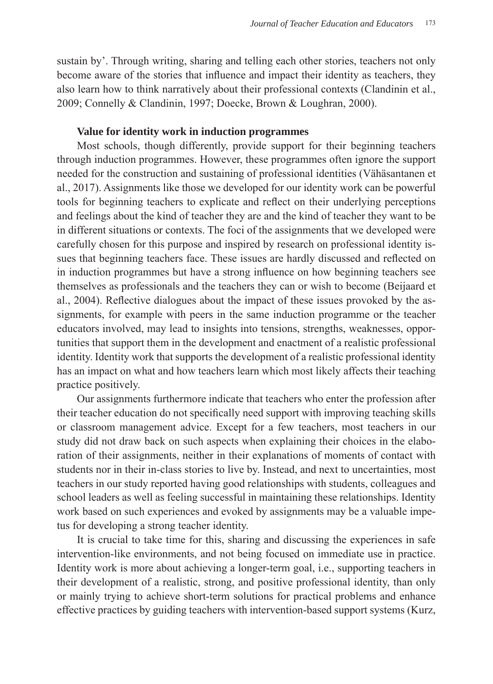sustain by'. Through writing, sharing and telling each other stories, teachers not only become aware of the stories that influence and impact their identity as teachers, they also learn how to think narratively about their professional contexts (Clandinin et al., 2009; Connelly & Clandinin, 1997; Doecke, Brown & Loughran, 2000).

# **Value for identity work in induction programmes**

Most schools, though differently, provide support for their beginning teachers through induction programmes. However, these programmes often ignore the support needed for the construction and sustaining of professional identities (Vähäsantanen et al., 2017). Assignments like those we developed for our identity work can be powerful tools for beginning teachers to explicate and reflect on their underlying perceptions and feelings about the kind of teacher they are and the kind of teacher they want to be in different situations or contexts. The foci of the assignments that we developed were carefully chosen for this purpose and inspired by research on professional identity issues that beginning teachers face. These issues are hardly discussed and reflected on in induction programmes but have a strong influence on how beginning teachers see themselves as professionals and the teachers they can or wish to become (Beijaard et al., 2004). Reflective dialogues about the impact of these issues provoked by the assignments, for example with peers in the same induction programme or the teacher educators involved, may lead to insights into tensions, strengths, weaknesses, opportunities that support them in the development and enactment of a realistic professional identity. Identity work that supports the development of a realistic professional identity has an impact on what and how teachers learn which most likely affects their teaching practice positively.

Our assignments furthermore indicate that teachers who enter the profession after their teacher education do not specifically need support with improving teaching skills or classroom management advice. Except for a few teachers, most teachers in our study did not draw back on such aspects when explaining their choices in the elaboration of their assignments, neither in their explanations of moments of contact with students nor in their in-class stories to live by. Instead, and next to uncertainties, most teachers in our study reported having good relationships with students, colleagues and school leaders as well as feeling successful in maintaining these relationships. Identity work based on such experiences and evoked by assignments may be a valuable impetus for developing a strong teacher identity.

It is crucial to take time for this, sharing and discussing the experiences in safe intervention-like environments, and not being focused on immediate use in practice. Identity work is more about achieving a longer-term goal, i.e., supporting teachers in their development of a realistic, strong, and positive professional identity, than only or mainly trying to achieve short-term solutions for practical problems and enhance effective practices by guiding teachers with intervention-based support systems (Kurz,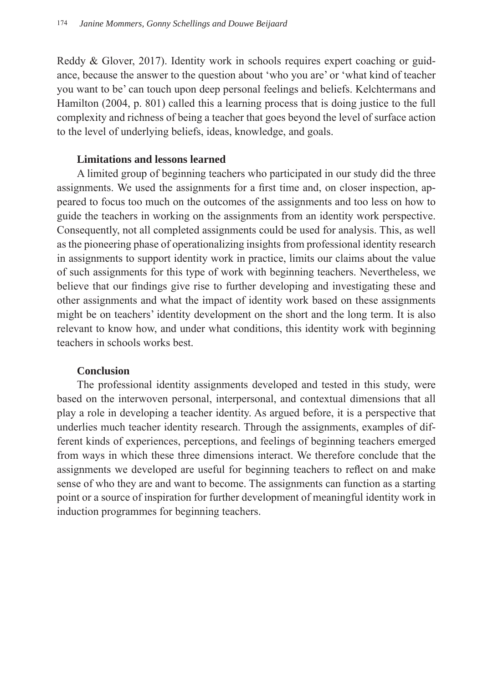Reddy & Glover, 2017). Identity work in schools requires expert coaching or guidance, because the answer to the question about 'who you are' or 'what kind of teacher you want to be' can touch upon deep personal feelings and beliefs. Kelchtermans and Hamilton (2004, p. 801) called this a learning process that is doing justice to the full complexity and richness of being a teacher that goes beyond the level of surface action to the level of underlying beliefs, ideas, knowledge, and goals.

# **Limitations and lessons learned**

A limited group of beginning teachers who participated in our study did the three assignments. We used the assignments for a first time and, on closer inspection, appeared to focus too much on the outcomes of the assignments and too less on how to guide the teachers in working on the assignments from an identity work perspective. Consequently, not all completed assignments could be used for analysis. This, as well as the pioneering phase of operationalizing insights from professional identity research in assignments to support identity work in practice, limits our claims about the value of such assignments for this type of work with beginning teachers. Nevertheless, we believe that our findings give rise to further developing and investigating these and other assignments and what the impact of identity work based on these assignments might be on teachers' identity development on the short and the long term. It is also relevant to know how, and under what conditions, this identity work with beginning teachers in schools works best.

# **Conclusion**

The professional identity assignments developed and tested in this study, were based on the interwoven personal, interpersonal, and contextual dimensions that all play a role in developing a teacher identity. As argued before, it is a perspective that underlies much teacher identity research. Through the assignments, examples of different kinds of experiences, perceptions, and feelings of beginning teachers emerged from ways in which these three dimensions interact. We therefore conclude that the assignments we developed are useful for beginning teachers to reflect on and make sense of who they are and want to become. The assignments can function as a starting point or a source of inspiration for further development of meaningful identity work in induction programmes for beginning teachers.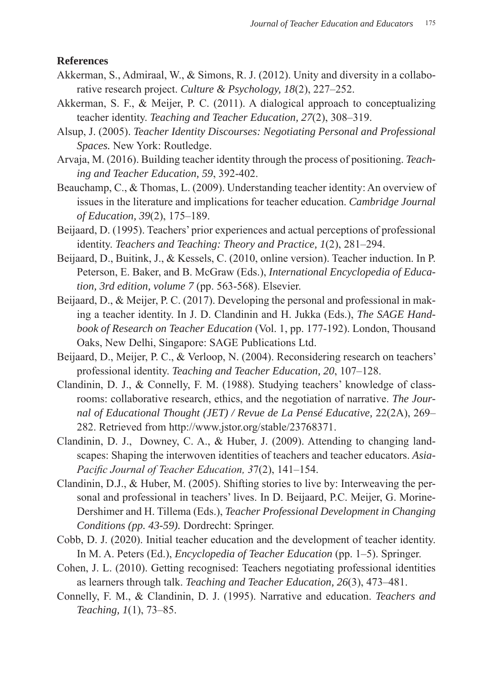# **References**

- Akkerman, S., Admiraal, W., & Simons, R. J. (2012). Unity and diversity in a collaborative research project. *Culture & Psychology, 18*(2), 227–252.
- Akkerman, S. F., & Meijer, P. C. (2011). A dialogical approach to conceptualizing teacher identity. *Teaching and Teacher Education, 27*(2), 308–319.
- Alsup, J. (2005). *Teacher Identity Discourses: Negotiating Personal and Professional Spaces.* New York: Routledge.
- Arvaja, M. (2016). Building teacher identity through the process of positioning. *Teaching and Teacher Education, 59*, 392-402.
- Beauchamp, C., & Thomas, L. (2009). Understanding teacher identity: An overview of issues in the literature and implications for teacher education. *Cambridge Journal of Education, 39*(2), 175–189.
- Beijaard, D. (1995). Teachers' prior experiences and actual perceptions of professional identity. *Teachers and Teaching: Theory and Practice, 1*(2), 281–294.
- Beijaard, D., Buitink, J., & Kessels, C. (2010, online version). Teacher induction. In P. Peterson, E. Baker, and B. McGraw (Eds.), *International Encyclopedia of Education, 3rd edition, volume 7* (pp. 563-568). Elsevier.
- Beijaard, D., & Meijer, P. C. (2017). Developing the personal and professional in making a teacher identity. In J. D. Clandinin and H. Jukka (Eds.), *The SAGE Handbook of Research on Teacher Education* (Vol. 1, pp. 177-192). London, Thousand Oaks, New Delhi, Singapore: SAGE Publications Ltd.
- Beijaard, D., Meijer, P. C., & Verloop, N. (2004). Reconsidering research on teachers' professional identity. *Teaching and Teacher Education, 20*, 107–128.
- Clandinin, D. J., & Connelly, F. M. (1988). Studying teachers' knowledge of classrooms: collaborative research, ethics, and the negotiation of narrative. *The Journal of Educational Thought (JET) / Revue de La Pensé Educative,* 22(2A), 269– 282. Retrieved from http://www.jstor.org/stable/23768371.
- Clandinin, D. J., Downey, C. A., & Huber, J. (2009). Attending to changing landscapes: Shaping the interwoven identities of teachers and teacher educators. *Asia-Pacific Journal of Teacher Education, 3*7(2), 141–154.
- Clandinin, D.J., & Huber, M. (2005). Shifting stories to live by: Interweaving the personal and professional in teachers' lives. In D. Beijaard, P.C. Meijer, G. Morine-Dershimer and H. Tillema (Eds.), *Teacher Professional Development in Changing Conditions (pp. 43-59).* Dordrecht: Springer.
- Cobb, D. J. (2020). Initial teacher education and the development of teacher identity. In M. A. Peters (Ed.), *Encyclopedia of Teacher Education* (pp. 1–5). Springer.
- Cohen, J. L. (2010). Getting recognised: Teachers negotiating professional identities as learners through talk. *Teaching and Teacher Education, 26*(3), 473–481.
- Connelly, F. M., & Clandinin, D. J. (1995). Narrative and education. *Teachers and Teaching, 1*(1), 73–85.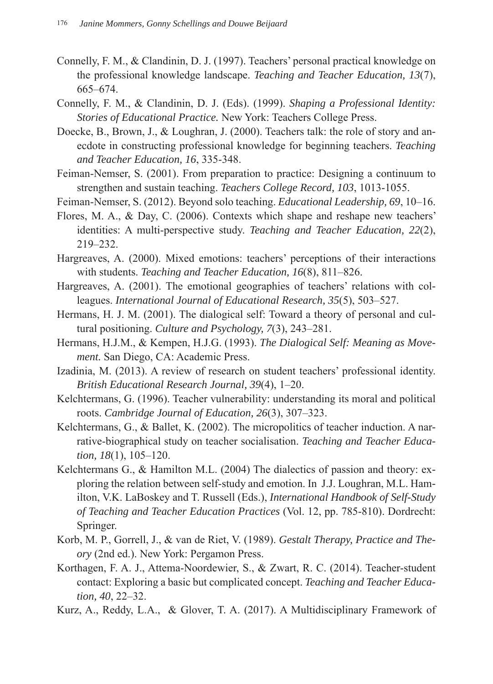- Connelly, F. M., & Clandinin, D. J. (1997). Teachers' personal practical knowledge on the professional knowledge landscape. *Teaching and Teacher Education, 13*(7), 665–674.
- Connelly, F. M., & Clandinin, D. J. (Eds). (1999). *Shaping a Professional Identity: Stories of Educational Practice.* New York: Teachers College Press.
- Doecke, B., Brown, J., & Loughran, J. (2000). Teachers talk: the role of story and anecdote in constructing professional knowledge for beginning teachers. *Teaching and Teacher Education, 16*, 335-348.
- Feiman-Nemser, S. (2001). From preparation to practice: Designing a continuum to strengthen and sustain teaching. *Teachers College Record, 103*, 1013-1055.
- Feiman-Nemser, S. (2012). Beyond solo teaching. *Educational Leadership, 69*, 10–16.
- Flores, M. A., & Day, C. (2006). Contexts which shape and reshape new teachers' identities: A multi-perspective study. *Teaching and Teacher Education, 22*(2), 219–232.
- Hargreaves, A. (2000). Mixed emotions: teachers' perceptions of their interactions with students. *Teaching and Teacher Education, 16*(8), 811–826.
- Hargreaves, A. (2001). The emotional geographies of teachers' relations with colleagues. *International Journal of Educational Research, 35*(5), 503–527.
- Hermans, H. J. M. (2001). The dialogical self: Toward a theory of personal and cultural positioning. *Culture and Psychology, 7*(3), 243–281.
- Hermans, H.J.M., & Kempen, H.J.G. (1993). *The Dialogical Self: Meaning as Movement.* San Diego, CA: Academic Press.
- Izadinia, M. (2013). A review of research on student teachers' professional identity. *British Educational Research Journal, 39*(4), 1–20.
- Kelchtermans, G. (1996). Teacher vulnerability: understanding its moral and political roots. *Cambridge Journal of Education, 26*(3), 307–323.
- Kelchtermans, G., & Ballet, K. (2002). The micropolitics of teacher induction. A narrative-biographical study on teacher socialisation. *Teaching and Teacher Education, 18*(1), 105–120.
- Kelchtermans G., & Hamilton M.L. (2004) The dialectics of passion and theory: exploring the relation between self-study and emotion. In J.J. Loughran, M.L. Hamilton, V.K. LaBoskey and T. Russell (Eds.), *International Handbook of Self-Study of Teaching and Teacher Education Practices* (Vol. 12, pp. 785-810). Dordrecht: Springer.
- Korb, M. P., Gorrell, J., & van de Riet, V. (1989). *Gestalt Therapy, Practice and Theory* (2nd ed.). New York: Pergamon Press.
- Korthagen, F. A. J., Attema-Noordewier, S., & Zwart, R. C. (2014). Teacher-student contact: Exploring a basic but complicated concept. *Teaching and Teacher Education, 40*, 22–32.
- Kurz, A., Reddy, L.A., & Glover, T. A. (2017). A Multidisciplinary Framework of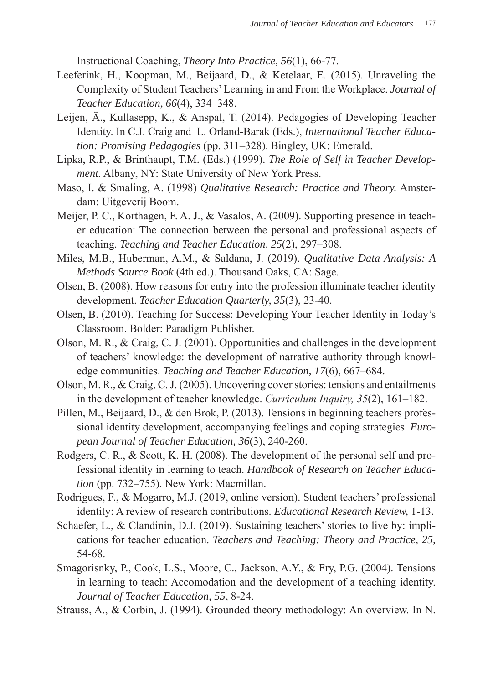Instructional Coaching, *Theory Into Practice, 56*(1), 66-77.

- Leeferink, H., Koopman, M., Beijaard, D., & Ketelaar, E. (2015). Unraveling the Complexity of Student Teachers' Learning in and From the Workplace. *Journal of Teacher Education, 66*(4), 334–348.
- Leijen, Ä., Kullasepp, K., & Anspal, T. (2014). Pedagogies of Developing Teacher Identity. In C.J. Craig and L. Orland-Barak (Eds.), *International Teacher Education: Promising Pedagogies* (pp. 311–328). Bingley, UK: Emerald.
- Lipka, R.P., & Brinthaupt, T.M. (Eds.) (1999). *The Role of Self in Teacher Development.* Albany, NY: State University of New York Press.
- Maso, I. & Smaling, A. (1998) *Qualitative Research: Practice and Theory.* Amsterdam: Uitgeverij Boom.
- Meijer, P. C., Korthagen, F. A. J., & Vasalos, A. (2009). Supporting presence in teacher education: The connection between the personal and professional aspects of teaching. *Teaching and Teacher Education, 25*(2), 297–308.
- Miles, M.B., Huberman, A.M., & Saldana, J. (2019). *Qualitative Data Analysis: A Methods Source Book* (4th ed.). Thousand Oaks, CA: Sage.
- Olsen, B. (2008). How reasons for entry into the profession illuminate teacher identity development. *Teacher Education Quarterly, 35*(3), 23-40.
- Olsen, B. (2010). Teaching for Success: Developing Your Teacher Identity in Today's Classroom. Bolder: Paradigm Publisher.
- Olson, M. R., & Craig, C. J. (2001). Opportunities and challenges in the development of teachers' knowledge: the development of narrative authority through knowledge communities. *Teaching and Teacher Education, 17*(6), 667–684.
- Olson, M. R., & Craig, C. J. (2005). Uncovering cover stories: tensions and entailments in the development of teacher knowledge. *Curriculum Inquiry, 35*(2), 161–182.
- Pillen, M., Beijaard, D., & den Brok, P. (2013). Tensions in beginning teachers professional identity development, accompanying feelings and coping strategies. *European Journal of Teacher Education, 36*(3), 240-260.
- Rodgers, C. R., & Scott, K. H. (2008). The development of the personal self and professional identity in learning to teach. *Handbook of Research on Teacher Education* (pp. 732–755). New York: Macmillan.
- Rodrigues, F., & Mogarro, M.J. (2019, online version). Student teachers' professional identity: A review of research contributions. *Educational Research Review,* 1-13.
- Schaefer, L., & Clandinin, D.J. (2019). Sustaining teachers' stories to live by: implications for teacher education. *Teachers and Teaching: Theory and Practice, 25,*  54-68.
- Smagorisnky, P., Cook, L.S., Moore, C., Jackson, A.Y., & Fry, P.G. (2004). Tensions in learning to teach: Accomodation and the development of a teaching identity. *Journal of Teacher Education, 55*, 8-24.
- Strauss, A., & Corbin, J. (1994). Grounded theory methodology: An overview. In N.